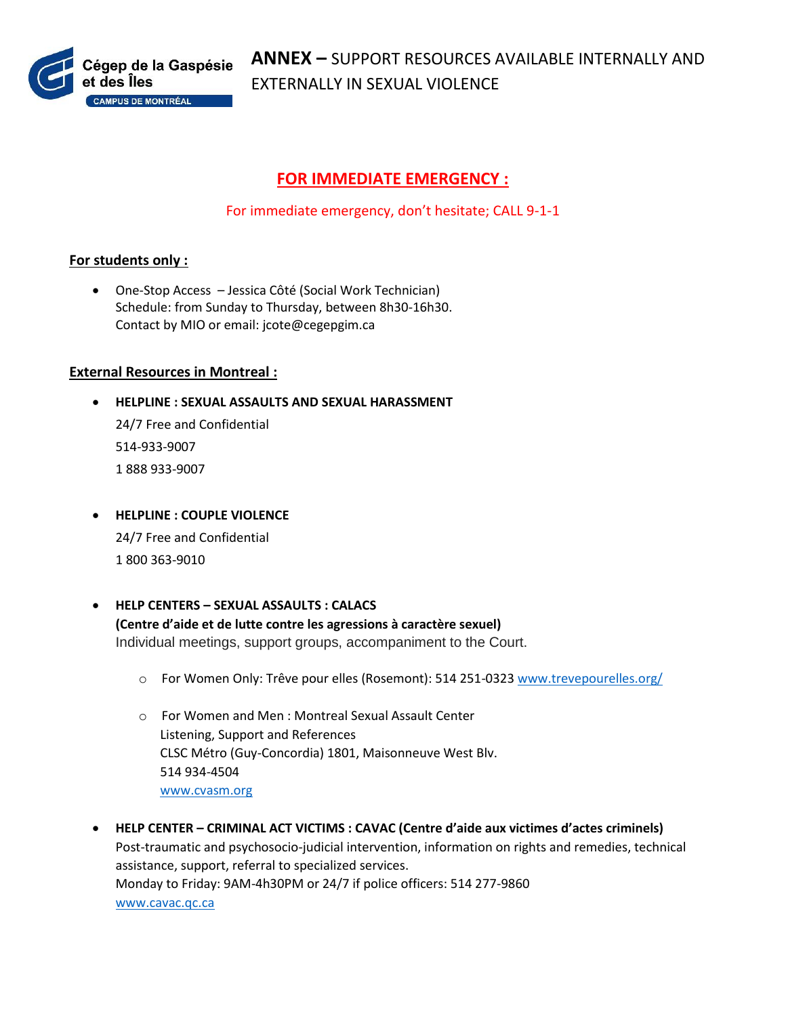

## **FOR IMMEDIATE EMERGENCY :**

For immediate emergency, don't hesitate; CALL 9-1-1

## **For students only :**

 One-Stop Access – Jessica Côté (Social Work Technician) Schedule: from Sunday to Thursday, between 8h30-16h30. Contact by MIO or email: jcote@cegepgim.ca

## **External Resources in Montreal :**

- **HELPLINE : SEXUAL ASSAULTS AND SEXUAL HARASSMENT** 24/7 Free and Confidential 514-933-9007 1 888 933-9007
- **HELPLINE : COUPLE VIOLENCE** 24/7 Free and Confidential 1 800 363-9010
- **HELP CENTERS – SEXUAL ASSAULTS : CALACS (Centre d'aide et de lutte contre les agressions à caractère sexuel)** Individual meetings, support groups, accompaniment to the Court.
	- o For Women Only: Trêve pour elles (Rosemont): 514 251-0323 [www.trevepourelles.org/](http://www.trevepourelles.org/)
	- o For Women and Men : Montreal Sexual Assault Center Listening, Support and References CLSC Métro (Guy-Concordia) 1801, Maisonneuve West Blv. 514 934-4504 [www.cvasm.org](http://www.cvasm.org/)
- **HELP CENTER – CRIMINAL ACT VICTIMS : CAVAC (Centre d'aide aux victimes d'actes criminels)** Post-traumatic and psychosocio-judicial intervention, information on rights and remedies, technical assistance, support, referral to specialized services. Monday to Friday: 9AM-4h30PM or 24/7 if police officers: 514 277-9860 [www.cavac.qc.ca](http://www.cavac.qc.ca/)